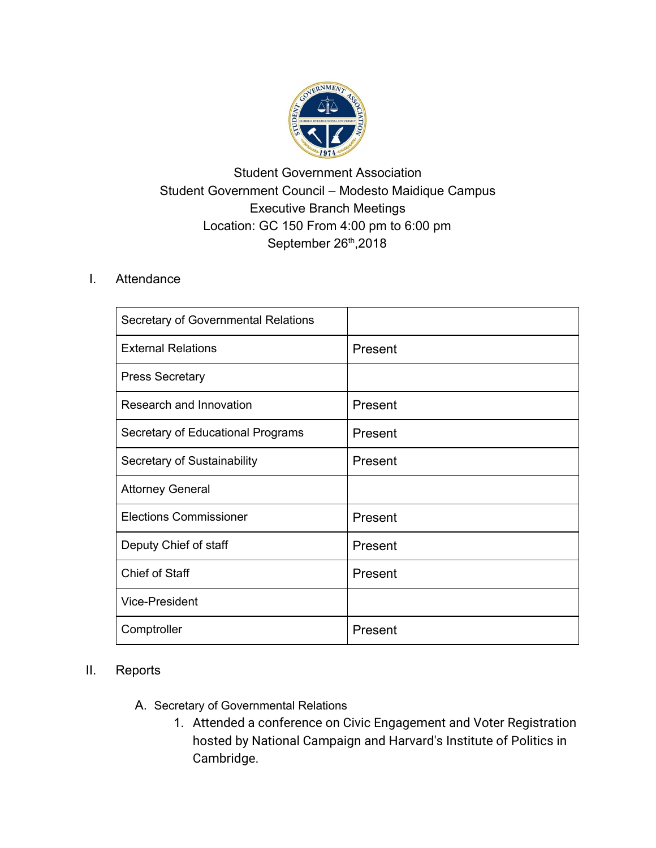

## Student Government Association Student Government Council – Modesto Maidique Campus Executive Branch Meetings Location: GC 150 From 4:00 pm to 6:00 pm September 26<sup>th</sup>, 2018

## I. Attendance

| Secretary of Governmental Relations |         |
|-------------------------------------|---------|
| <b>External Relations</b>           | Present |
| <b>Press Secretary</b>              |         |
| Research and Innovation             | Present |
| Secretary of Educational Programs   | Present |
| Secretary of Sustainability         | Present |
| <b>Attorney General</b>             |         |
| <b>Elections Commissioner</b>       | Present |
| Deputy Chief of staff               | Present |
| <b>Chief of Staff</b>               | Present |
| <b>Vice-President</b>               |         |
| Comptroller                         | Present |

## II. Reports

- A. Secretary of Governmental Relations
	- 1. Attended a conference on Civic Engagement and Voter Registration hosted by National Campaign and Harvard's Institute of Politics in Cambridge.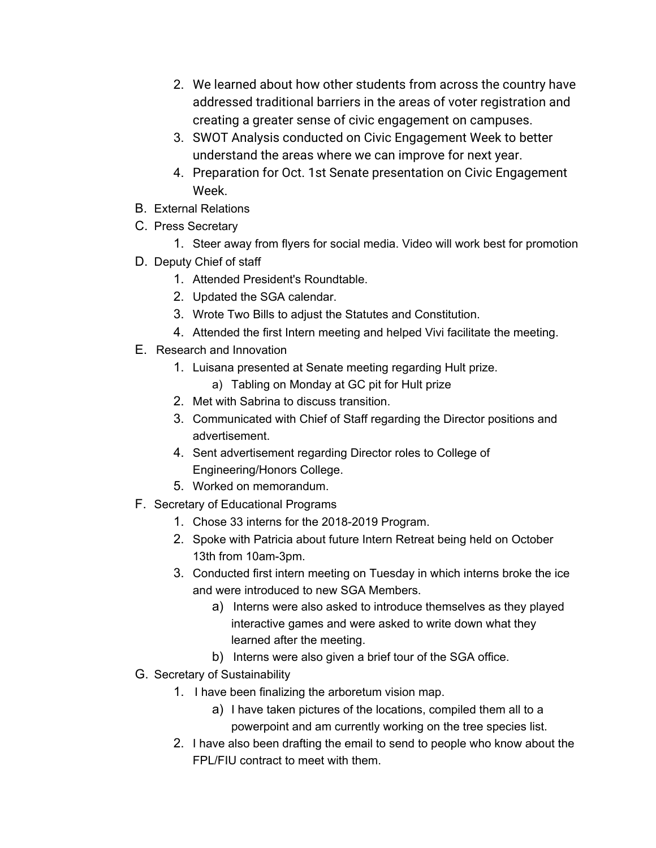- 2. We learned about how other students from across the country have addressed traditional barriers in the areas of voter registration and creating a greater sense of civic engagement on campuses.
- 3. SWOT Analysis conducted on Civic Engagement Week to better understand the areas where we can improve for next year.
- 4. Preparation for Oct. 1st Senate presentation on Civic Engagement Week.
- B. External Relations
- C. Press Secretary
	- 1. Steer away from flyers for social media. Video will work best for promotion
- D. Deputy Chief of staff
	- 1. Attended President's Roundtable.
	- 2. Updated the SGA calendar.
	- 3. Wrote Two Bills to adjust the Statutes and Constitution.
	- 4. Attended the first Intern meeting and helped Vivi facilitate the meeting.
- E. Research and Innovation
	- 1. Luisana presented at Senate meeting regarding Hult prize.
		- a) Tabling on Monday at GC pit for Hult prize
	- 2. Met with Sabrina to discuss transition.
	- 3. Communicated with Chief of Staff regarding the Director positions and advertisement.
	- 4. Sent advertisement regarding Director roles to College of Engineering/Honors College.
	- 5. Worked on memorandum.
- F. Secretary of Educational Programs
	- 1. Chose 33 interns for the 2018-2019 Program.
	- 2. Spoke with Patricia about future Intern Retreat being held on October 13th from 10am-3pm.
	- 3. Conducted first intern meeting on Tuesday in which interns broke the ice and were introduced to new SGA Members.
		- a) Interns were also asked to introduce themselves as they played interactive games and were asked to write down what they learned after the meeting.
		- b) Interns were also given a brief tour of the SGA office.
- G. Secretary of Sustainability
	- 1. I have been finalizing the arboretum vision map.
		- a) I have taken pictures of the locations, compiled them all to a powerpoint and am currently working on the tree species list.
	- 2. I have also been drafting the email to send to people who know about the FPL/FIU contract to meet with them.